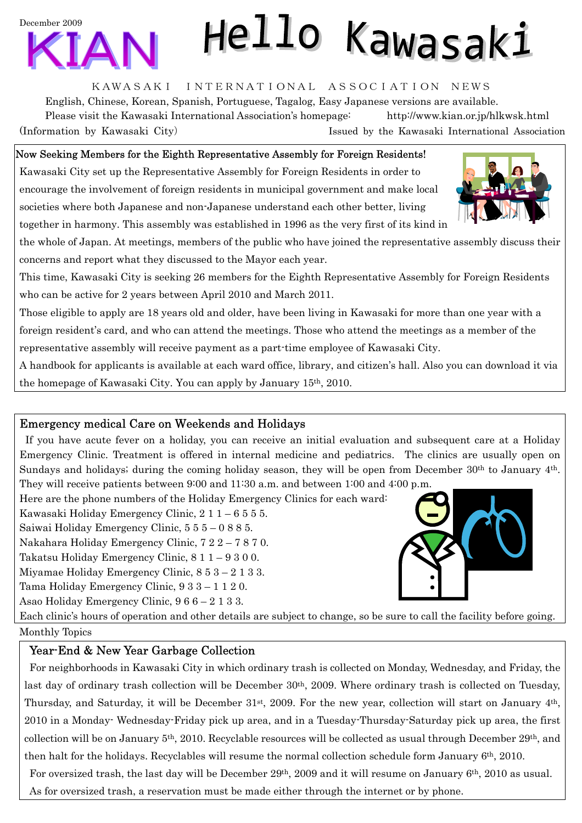# December 2009

## KAWASAKI INTERNATIONAL ASSOCIATION NEWS

Hello Kawasaki

English, Chinese, Korean, Spanish, Portuguese, Tagalog, Easy Japanese versions are available. Please visit the Kawasaki International Association's homepage: <http://www.kian.or.jp/hlkwsk.html> (Information by Kawasaki City) Issued by the Kawasaki International Association

## Now Seeking Members for the Eighth Representative Assembly for Foreign Residents!

Kawasaki City set up the Representative Assembly for Foreign Residents in order to encourage the involvement of foreign residents in municipal government and make local societies where both Japanese and non-Japanese understand each other better, living together in harmony. This assembly was established in 1996 as the very first of its kind in

the whole of Japan. At meetings, members of the public who have joined the representative assembly discuss their concerns and report what they discussed to the Mayor each year.

This time, Kawasaki City is seeking 26 members for the Eighth Representative Assembly for Foreign Residents who can be active for 2 years between April 2010 and March 2011.

Those eligible to apply are 18 years old and older, have been living in Kawasaki for more than one year with a foreign resident's card, and who can attend the meetings. Those who attend the meetings as a member of the representative assembly will receive payment as a part-time employee of Kawasaki City.

A handbook for applicants is available at each ward office, library, and citizen's hall. Also you can download it via the homepage of Kawasaki City. You can apply by January 15th, 2010.

## Emergency medical Care on Weekends and Holidays

If you have acute fever on a holiday, you can receive an initial evaluation and subsequent care at a Holiday Emergency Clinic. Treatment is offered in internal medicine and pediatrics. The clinics are usually open on Sundays and holidays; during the coming holiday season, they will be open from December 30<sup>th</sup> to January 4<sup>th</sup>. They will receive patients between 9:00 and 11:30 a.m. and between 1:00 and 4:00 p.m.

Here are the phone numbers of the Holiday Emergency Clinics for each ward:

Kawasaki Holiday Emergency Clinic, 2 1 1 – 6 5 5 5.

Saiwai Holiday Emergency Clinic, 5 5 5 – 0 8 8 5.

Nakahara Holiday Emergency Clinic, 7 2 2 – 7 8 7 0.

Takatsu Holiday Emergency Clinic, 8 1 1 – 9 3 0 0.

Miyamae Holiday Emergency Clinic, 8 5 3 – 2 1 3 3.

Tama Holiday Emergency Clinic, 9 3 3 – 1 1 2 0.

Asao Holiday Emergency Clinic, 9 6 6 – 2 1 3 3.

Each clinic's hours of operation and other details are subject to change, so be sure to call the facility before going.

#### Monthly Topics

# Year-End & New Year Garbage Collection

For neighborhoods in Kawasaki City in which ordinary trash is collected on Monday, Wednesday, and Friday, the last day of ordinary trash collection will be December 30th, 2009. Where ordinary trash is collected on Tuesday, Thursday, and Saturday, it will be December 31st, 2009. For the new year, collection will start on January 4th, 2010 in a Monday- Wednesday-Friday pick up area, and in a Tuesday-Thursday-Saturday pick up area, the first collection will be on January 5th, 2010. Recyclable resources will be collected as usual through December 29th, and then halt for the holidays. Recyclables will resume the normal collection schedule form January 6th, 2010.

For oversized trash, the last day will be December 29th, 2009 and it will resume on January 6th, 2010 as usual. As for oversized trash, a reservation must be made either through the internet or by phone.